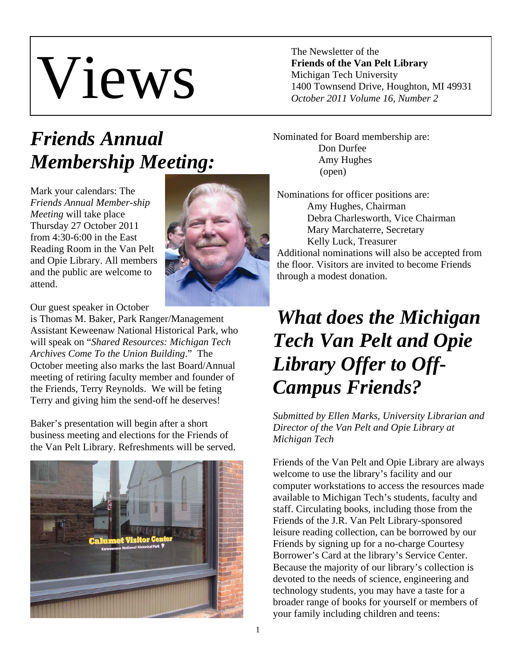# Views

The Newsletter of the **Friends of the Van Pelt Library**  Michigan Tech University 1400 Townsend Drive, Houghton, MI 49931 *October 2011 Volume 16, Number 2* 

## *Friends Annual Membership Meeting:*

Mark your calendars: The *Friends Annual Member-ship Meeting* will take place Thursday 27 October 2011 from 4:30-6:00 in the East Reading Room in the Van Pelt and Opie Library. All members and the public are welcome to attend.



Our guest speaker in October

is Thomas M. Baker, Park Ranger/Management Assistant Keweenaw National Historical Park, who will speak on "*Shared Resources: Michigan Tech Archives Come To the Union Building*." The October meeting also marks the last Board/Annual meeting of retiring faculty member and founder of the Friends, Terry Reynolds. We will be feting Terry and giving him the send-off he deserves!

Baker's presentation will begin after a short business meeting and elections for the Friends of the Van Pelt Library. Refreshments will be served.



Nominated for Board membership are: Don Durfee Amy Hughes (open)

Nominations for officer positions are: Amy Hughes, Chairman Debra Charlesworth, Vice Chairman Mary Marchaterre, Secretary Kelly Luck, Treasurer Additional nominations will also be accepted from the floor. Visitors are invited to become Friends through a modest donation.

## *What does the Michigan Tech Van Pelt and Opie Library Offer to Off-Campus Friends?*

*Submitted by Ellen Marks, University Librarian and Director of the Van Pelt and Opie Library at Michigan Tech* 

Friends of the Van Pelt and Opie Library are always welcome to use the library's facility and our computer workstations to access the resources made available to Michigan Tech's students, faculty and staff. Circulating books, including those from the Friends of the J.R. Van Pelt Library-sponsored leisure reading collection, can be borrowed by our Friends by signing up for a no-charge Courtesy Borrower's Card at the library's Service Center. Because the majority of our library's collection is devoted to the needs of science, engineering and technology students, you may have a taste for a broader range of books for yourself or members of your family including children and teens: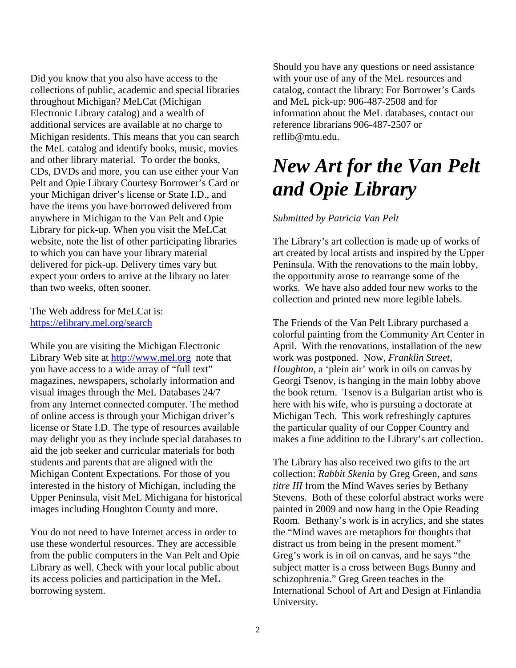Did you know that you also have access to the collections of public, academic and special libraries throughout Michigan? MeLCat (Michigan Electronic Library catalog) and a wealth of additional services are available at no charge to Michigan residents. This means that you can search the MeL catalog and identify books, music, movies and other library material. To order the books, CDs, DVDs and more, you can use either your Van Pelt and Opie Library Courtesy Borrower's Card or your Michigan driver's license or State I.D., and have the items you have borrowed delivered from anywhere in Michigan to the Van Pelt and Opie Library for pick-up. When you visit the MeLCat website, note the list of other participating libraries to which you can have your library material delivered for pick-up. Delivery times vary but expect your orders to arrive at the library no later than two weeks, often sooner.

The Web address for MeLCat is: https://elibrary.mel.org/search

While you are visiting the Michigan Electronic Library Web site at http://www.mel.org note that you have access to a wide array of "full text" magazines, newspapers, scholarly information and visual images through the MeL Databases 24/7 from any Internet connected computer. The method of online access is through your Michigan driver's license or State I.D. The type of resources available may delight you as they include special databases to aid the job seeker and curricular materials for both students and parents that are aligned with the Michigan Content Expectations. For those of you interested in the history of Michigan, including the Upper Peninsula, visit MeL Michigana for historical images including Houghton County and more.

You do not need to have Internet access in order to use these wonderful resources. They are accessible from the public computers in the Van Pelt and Opie Library as well. Check with your local public about its access policies and participation in the MeL borrowing system.

Should you have any questions or need assistance with your use of any of the MeL resources and catalog, contact the library: For Borrower's Cards and MeL pick-up: 906-487-2508 and for information about the MeL databases, contact our reference librarians 906-487-2507 or reflib@mtu.edu.

## *New Art for the Van Pelt and Opie Library*

#### *Submitted by Patricia Van Pelt*

The Library's art collection is made up of works of art created by local artists and inspired by the Upper Peninsula. With the renovations to the main lobby, the opportunity arose to rearrange some of the works. We have also added four new works to the collection and printed new more legible labels.

The Friends of the Van Pelt Library purchased a colorful painting from the Community Art Center in April. With the renovations, installation of the new work was postponed. Now, *Franklin Street, Houghton*, a 'plein air' work in oils on canvas by Georgi Tsenov, is hanging in the main lobby above the book return. Tsenov is a Bulgarian artist who is here with his wife, who is pursuing a doctorate at Michigan Tech. This work refreshingly captures the particular quality of our Copper Country and makes a fine addition to the Library's art collection.

The Library has also received two gifts to the art collection: *Rabbit Skenia* by Greg Green, and *sans titre III* from the Mind Waves series by Bethany Stevens. Both of these colorful abstract works were painted in 2009 and now hang in the Opie Reading Room. Bethany's work is in acrylics, and she states the "Mind waves are metaphors for thoughts that distract us from being in the present moment." Greg's work is in oil on canvas, and he says "the subject matter is a cross between Bugs Bunny and schizophrenia." Greg Green teaches in the International School of Art and Design at Finlandia University.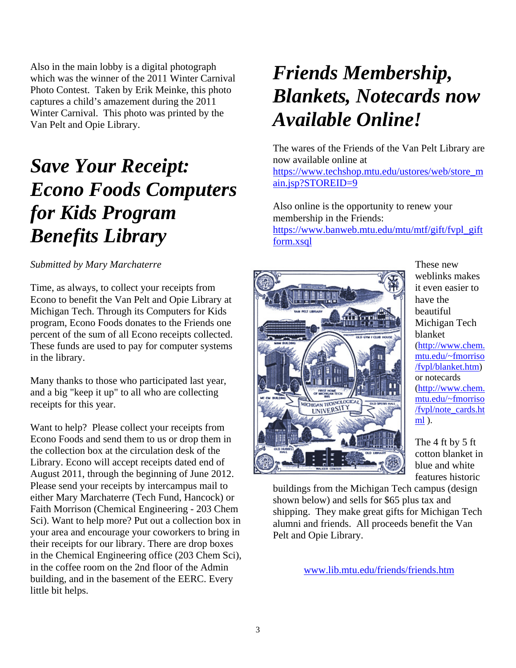Also in the main lobby is a digital photograph which was the winner of the 2011 Winter Carnival Photo Contest. Taken by Erik Meinke, this photo captures a child's amazement during the 2011 Winter Carnival. This photo was printed by the Van Pelt and Opie Library.

## *Save Your Receipt: Econo Foods Computers for Kids Program Benefits Library*

*Submitted by Mary Marchaterre* 

Time, as always, to collect your receipts from Econo to benefit the Van Pelt and Opie Library at Michigan Tech. Through its Computers for Kids program, Econo Foods donates to the Friends one percent of the sum of all Econo receipts collected. These funds are used to pay for computer systems in the library.

Many thanks to those who participated last year, and a big "keep it up" to all who are collecting receipts for this year.

Want to help? Please collect your receipts from Econo Foods and send them to us or drop them in the collection box at the circulation desk of the Library. Econo will accept receipts dated end of August 2011, through the beginning of June 2012. Please send your receipts by intercampus mail to either Mary Marchaterre (Tech Fund, Hancock) or Faith Morrison (Chemical Engineering - 203 Chem Sci). Want to help more? Put out a collection box in your area and encourage your coworkers to bring in their receipts for our library. There are drop boxes in the Chemical Engineering office (203 Chem Sci), in the coffee room on the 2nd floor of the Admin building, and in the basement of the EERC. Every little bit helps.

## *Friends Membership, Blankets, Notecards now Available Online!*

The wares of the Friends of the Van Pelt Library are now available online at https://www.techshop.mtu.edu/ustores/web/store\_m ain.jsp?STOREID=9

Also online is the opportunity to renew your membership in the Friends: https://www.banweb.mtu.edu/mtu/mtf/gift/fvpl\_gift form.xsql



These new weblinks makes it even easier to have the beautiful Michigan Tech blanket (http://www.chem. mtu.edu/~fmorriso /fvpl/blanket.htm) or notecards (http://www.chem. mtu.edu/~fmorriso /fvpl/note\_cards.ht ml ).

The 4 ft by 5 ft cotton blanket in blue and white features historic

buildings from the Michigan Tech campus (design shown below) and sells for \$65 plus tax and shipping. They make great gifts for Michigan Tech alumni and friends. All proceeds benefit the Van Pelt and Opie Library.

www.lib.mtu.edu/friends/friends.htm